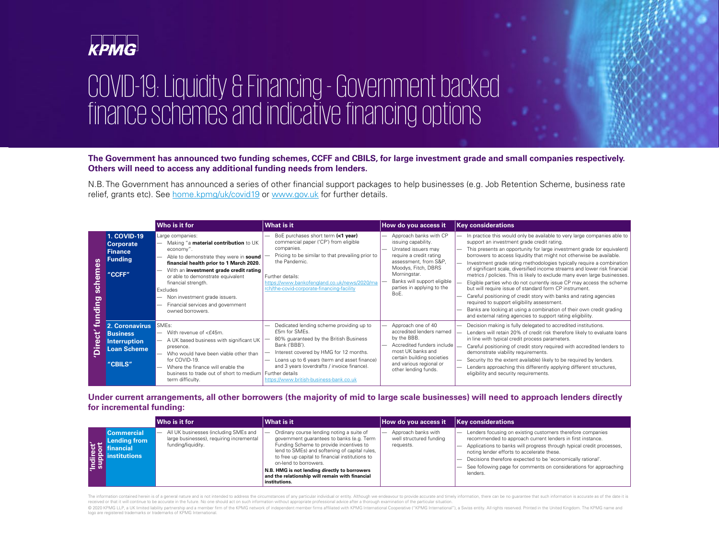

# COVID-19: Liquidity & Financing - Government backed finance schemes and indicative financing options

N.B. The Government has announced a series of other financial support packages to help businesses (e.g. Job Retention Scheme, business rate relief, grants etc). See [home.kpmg/uk/covid19](http://home.kpmg/uk/covid19) or [www.gov.uk](http://www.gov.uk/) for further details.

# **The Government has announced two funding schemes, CCFF and CBILS, for large investment grade and small companies respectively. Others will need to access any additional funding needs from lenders.**

|                             |                                                                                           | Who is it for                                                                                                                                                                                                                                                                                                                                                           | <b>What is it</b>                                                                                                                                                                                                                                                                                                                                                                                                                                                                                                                                                                                                                                                           | How do you access it                                                                                                                                                                                                                 | <b>Key considerations</b>                                                                                                                                                                                                                                                                                                                                                                                                                                                                                                                                                    |
|-----------------------------|-------------------------------------------------------------------------------------------|-------------------------------------------------------------------------------------------------------------------------------------------------------------------------------------------------------------------------------------------------------------------------------------------------------------------------------------------------------------------------|-----------------------------------------------------------------------------------------------------------------------------------------------------------------------------------------------------------------------------------------------------------------------------------------------------------------------------------------------------------------------------------------------------------------------------------------------------------------------------------------------------------------------------------------------------------------------------------------------------------------------------------------------------------------------------|--------------------------------------------------------------------------------------------------------------------------------------------------------------------------------------------------------------------------------------|------------------------------------------------------------------------------------------------------------------------------------------------------------------------------------------------------------------------------------------------------------------------------------------------------------------------------------------------------------------------------------------------------------------------------------------------------------------------------------------------------------------------------------------------------------------------------|
| schemes<br>'Direct' funding | <b>1. COVID-19</b><br><b>Corporate</b><br><b>Finance</b><br><b>Funding</b><br>"CCFF"      | Large companies:<br>Making "a material contribution to UK<br>economy".<br>Able to demonstrate they were in sound<br>financial health prior to 1 March 2020.<br>With an investment grade credit rating<br>or able to demonstrate equivalent<br>financial strength.<br>Excludes<br>Non investment grade issuers.<br>Financial services and government<br>owned borrowers. | BoE purchases short term (<1 year)<br>commercial paper ('CP') from eligible<br>companies.<br>Pricing to be similar to that prevailing prior to<br>the Pandemic.<br>Further details:<br>https://www.bankofengland.co.uk/news/2020/ma<br>rch/the-covid-corporate-financing-facility                                                                                                                                                                                                                                                                                                                                                                                           | Approach banks with CP<br>issuing capability.<br>Unrated issuers may<br>require a credit rating<br>assessment, from S&P,<br>Moodys, Fitch, DBRS<br>Morningstar.<br>Banks will support eligible<br>parties in applying to the<br>BoE. | In practice this would only be availal<br>support an investment grade credit<br>This presents an opportunity for large<br>$\overline{\phantom{0}}$<br>borrowers to access liquidity that m<br>Investment grade rating methodolor<br>of significant scale, diversified incon<br>metrics / policies. This is likely to ex<br>Eligible parties who do not currently<br>but will require issue of standard for<br>Careful positioning of credit story w<br>required to support eligibility assess<br>Banks are looking at using a combin<br>and external rating agencies to supp |
|                             | 2. Coronavirus<br><b>Business</b><br><b>Interruption</b><br><b>Loan Scheme</b><br>"CBILS" | SME <sub>s</sub> :<br>With revenue of <£45m.<br>A UK based business with significant UK<br>presence.<br>Who would have been viable other than<br>for COVID-19.<br>Where the finance will enable the<br>business to trade out of short to medium   Further details<br>term difficulty.                                                                                   | Dedicated lending scheme providing up to<br>£5m for SMEs.<br>80% guaranteed by the British Business<br>Bank ('BBB').<br>Interest covered by HMG for 12 months.<br>Loans up to 6 years (term and asset finance)<br>and 3 years (overdrafts / invoice finance).<br>https://www.british-business-bank.co.uk                                                                                                                                                                                                                                                                                                                                                                    | Approach one of 40<br>accredited lenders named<br>by the BBB.<br>Accredited funders include<br>most UK banks and<br>certain building societies<br>and various regional or<br>other lending funds.                                    | Decision making is fully delegated to<br>Lenders will retain 20% of credit ris<br>in line with typical credit process pa<br>Careful positioning of credit story re<br>demonstrate viability requirements.<br>Security (to the extent available) like<br>Lenders approaching this differently<br>eligibility and security requirements.                                                                                                                                                                                                                                       |
|                             | for incremental funding:                                                                  | Who is it for                                                                                                                                                                                                                                                                                                                                                           | Under current arrangements, all other borrowers (the majority of mid to large scale businesses) will need to approa<br><b>What is it</b>                                                                                                                                                                                                                                                                                                                                                                                                                                                                                                                                    | How do you access it                                                                                                                                                                                                                 | <b>Key considerations</b>                                                                                                                                                                                                                                                                                                                                                                                                                                                                                                                                                    |
| 'Indirect'<br>support       | <b>Commercial</b><br><b>Lending from</b><br>financial<br><b>institutions</b>              | All UK businesses (including SMEs and<br>large businesses), requiring incremental<br>funding/liquidity.                                                                                                                                                                                                                                                                 | Ordinary course lending noting a suite of<br>government guarantees to banks (e.g. Term<br>Funding Scheme to provide incentives to<br>lend to SMEs) and softening of capital rules,<br>to free up capital to financial institutions to<br>on-lend to borrowers.<br>N.B. HMG is not lending directly to borrowers<br>and the relationship will remain with financial<br>institutions.                                                                                                                                                                                                                                                                                         | Approach banks with<br>well structured funding<br>requests.                                                                                                                                                                          | Lenders focusing on existing custor<br>recommended to approach current I<br>Applications to banks will progress t<br>noting lender efforts to accelerate tl<br>Decisions therefore expected to be<br>See following page for comments o<br>lenders.                                                                                                                                                                                                                                                                                                                           |
|                             |                                                                                           | logo are registered trademarks or trademarks of KPMG International.                                                                                                                                                                                                                                                                                                     | The information contained herein is of a general nature and is not intended to address the circumstances of any particular individual or entity. Although we endeavour to provide accurate and timely information, there can b<br>received or that it will continue to be accurate in the future. No one should act on such information without appropriate professional advice after a thorough examination of the particular situation.<br>© 2020 KPMG LLP, a UK limited liability partnership and a member firm of the KPMG network of independent member firms affiliated with KPMG International Cooperative ("KPMG International"), a Swiss entity. All rights reserv |                                                                                                                                                                                                                                      |                                                                                                                                                                                                                                                                                                                                                                                                                                                                                                                                                                              |

# **Under current arrangements, all other borrowers (the majority of mid to large scale businesses) will need to approach lenders directly for incremental funding:**

|                                     |                                                                      | Who is it for                                                                                           | What is it                                                                                                                                                                                                                                                                                                                                                                          | How do you access it                                        | <b>Key considerations</b>                                                                                                                                                                                                                                    |
|-------------------------------------|----------------------------------------------------------------------|---------------------------------------------------------------------------------------------------------|-------------------------------------------------------------------------------------------------------------------------------------------------------------------------------------------------------------------------------------------------------------------------------------------------------------------------------------------------------------------------------------|-------------------------------------------------------------|--------------------------------------------------------------------------------------------------------------------------------------------------------------------------------------------------------------------------------------------------------------|
| お H<br>$\left  \frac{1}{2} \right $ | <b>Commercial</b><br><b>Lending from</b><br>inancial<br>institutions | All UK businesses (including SMEs and<br>large businesses), requiring incremental<br>funding/liquidity. | Ordinary course lending noting a suite of<br>government guarantees to banks (e.g. Term<br>Funding Scheme to provide incentives to<br>lend to SMEs) and softening of capital rules.<br>to free up capital to financial institutions to<br>on-lend to borrowers.<br>N.B. HMG is not lending directly to borrowers<br>and the relationship will remain with financial<br>institutions. | Approach banks with<br>well structured funding<br>requests. | Lenders focusing on existing cust<br>recommended to approach curre<br>Applications to banks will progres<br>noting lender efforts to accelerate<br>Decisions therefore expected to<br>$\overline{\phantom{0}}$<br>See following page for comment<br>lenders. |

The information contained herein is of a general nature and is not intended to address the circumstances of any particular individual or entity. Although we endeavour to provide accurate and timely information, there can b received or that it will continue to be accurate in the future. No one should act on such information without appropriate professional advice after a thorough examination of the particular situation

© 2020 KPMG LLP, a UK limited liability partnership and a member firm of the KPMG network of independent member firms affiliated with KPMG International Cooperative ("KPMG International"), a Swiss entity. All rights reserv



ailable to very large companies able to dit rating.

large investment grade (or equivalent) t might not otherwise be available.

ologies typically require a combination come streams and lower risk financial exclude many even large businesses. ntly issue CP may access the scheme d form CP instrument.

with banks and rating agencies ressment.

hination of their own credit grading support rating eligibility.

ed to accredited institutions.

t risk therefore likely to evaluate loans in parameters.

required with accredited lenders to

likely to be required by lenders.

ntly applying different structures,

stomers therefore companies ent lenders in first instance. ss through typical credit processes,

te these.

be 'economically rational'.

ts on considerations for approaching